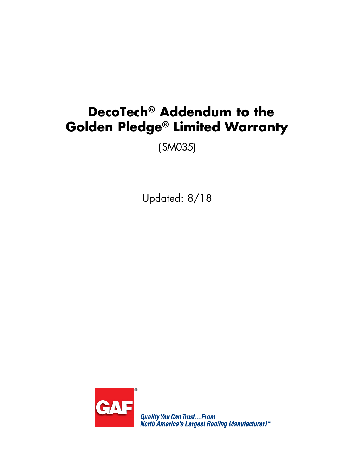# **DecoTech® Addendum to the Golden Pledge® Limited Warranty**

(SM035)

Updated: 8/18



**Quality You Can Trust...From<br>North America's Largest Roofing Manufacturer!**"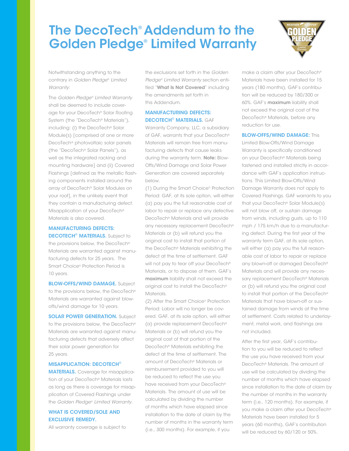# The DecoTech® Addendum to the Golden Pledge® Limited Warranty



Notwithstanding anything to the contrary in *Golden Pledge*® *Limited Warranty*:

The *Golden Pledge® Limited Warranty* shall be deemed to include coverage for your DecoTech® Solar Roofing System (the "DecoTech® Materials"), including: (i) the DecoTech® Solar Module(s) [comprised of one or more DecoTech® photovoltaic solar panels (the "DecoTech® Solar Panels"), as well as the integrated racking and mounting hardware] and (ii) Covered Flashings [defined as the metallic flashing components installed around the array of DecoTech® Solar Modules on your roof], in the unlikely event that they contain a manufacturing defect. Misapplication of your DecoTech® Materials is also covered.

MANUFACTURING DEFECTS: **DECOTECH<sup>®</sup> MATERIALS.** Subject to the provisions below, the DecoTech® Materials are warranted against manufacturing defects for 25 years. The Smart Choice® Protection Period is 10 years.

**BLOW-OFFS/WIND DAMAGE.** Subject to the provisions below, the DecoTech® Materials are warranted against blowoffs/wind damage for 10 years.

**SOLAR POWER GENERATION.** Subject to the provisions below, the DecoTech® Materials are warranted against manufacturing defects that adversely affect their solar power generation for 25 years.

#### MISAPPLICATION: DECOTECH®

MATERIALS. Coverage for misapplication of your DecoTech® Materials lasts as long as there is coverage for misapplication of Covered Flashings under the *Golden Pledge® Limited Warranty*.

# WHAT IS COVERED/SOLE AND EXCLUSIVE REMEDY.

All warranty coverage is subject to

the exclusions set forth in the *Golden Pledge® Limited Warranty* section entitled "What Is Not Covered" including the amendments set forth in this Addendum.

## MANUFACTURING DEFECTS: DECOTECH® MATERIALS. GAF

Warranty Company, LLC, a subsidiary of GAF, warrants that your DecoTech® Materials will remain free from manufacturing defects that cause leaks during the warranty term. Note: Blow-Offs/Wind Damage and Solar Power Generation are covered separately below.

(1) During the Smart Choice® Protection Period: GAF, at its sole option, will either (a) pay you the full reasonable cost of labor to repair or replace any defective DecoTech® Materials and will provide any necessary replacement DecoTech® Materials or (b) will refund you the original cost to install that portion of the DecoTech® Materials exhibiting the defect at the time of settlement. GAF will not pay to tear off your DecoTech<sup>®</sup> Materials, or to dispose of them. GAF's maximum liability shall not exceed the original cost to install the DecoTech® Materials.

(2) After the Smart Choice® Protection Period: Labor will no longer be covered. GAF, at its sole option, will either (a) provide replacement DecoTech® Materials or (b) will refund you the original cost of that portion of the DecoTech® Materials exhibiting the defect at the time of settlement. The amount of DecoTech® Materials or reimbursement provided to you will be reduced to reflect the use you have received from your DecoTech<sup>®</sup> Materials. The amount of use will be calculated by dividing the number of months which have elapsed since installation to the date of claim by the number of months in the warranty term (i.e., 300 months). For example, if you

make a claim after your DecoTech® Materials have been installed for 15 years (180 months), GAF's contribution will be reduced by 180/300 or 60%. GAF's maximum liability shall not exceed the original cost of the DecoTech® Materials, before any reduction for use.

#### **BLOW-OFFS/WIND DAMAGE: This**

Limited Blow-Offs/Wind Damage Warranty is specifically conditioned on your DecoTech® Materials being fastened and installed strictly in accordance with GAF's application instructions. This Limited Blow-Offs/Wind Damage Warranty does not apply to Covered Flashings. GAF warrants to you that your DecoTech® Solar Module(s) will not blow off, or sustain damage from winds, including gusts, up to 110 mph / 175 km/h due to a manufacturing defect. During the first year of the warranty term GAF, at its sole option, will either (a) pay you the full reasonable cost of labor to repair or replace any blown-off or damaged DecoTech® Materials and will provide any necessary replacement DecoTech<sup>®</sup> Materials or (b) will refund you the original cost to install that portion of the DecoTech® Materials that have blown-off or sustained damage from winds at the time of settlement. Costs related to underlayment, metal work, and flashings are not included.

After the first year, GAF's contribution to you will be reduced to reflect the use you have received from your DecoTech® Materials. The amount of use will be calculated by dividing the number of months which have elapsed since installation to the date of claim by the number of months in the warranty term (i.e., 120 months). For example, if you make a claim after your DecoTech® Materials have been installed for 5 years (60 months), GAF's contribution will be reduced by 60/120 or 50%.